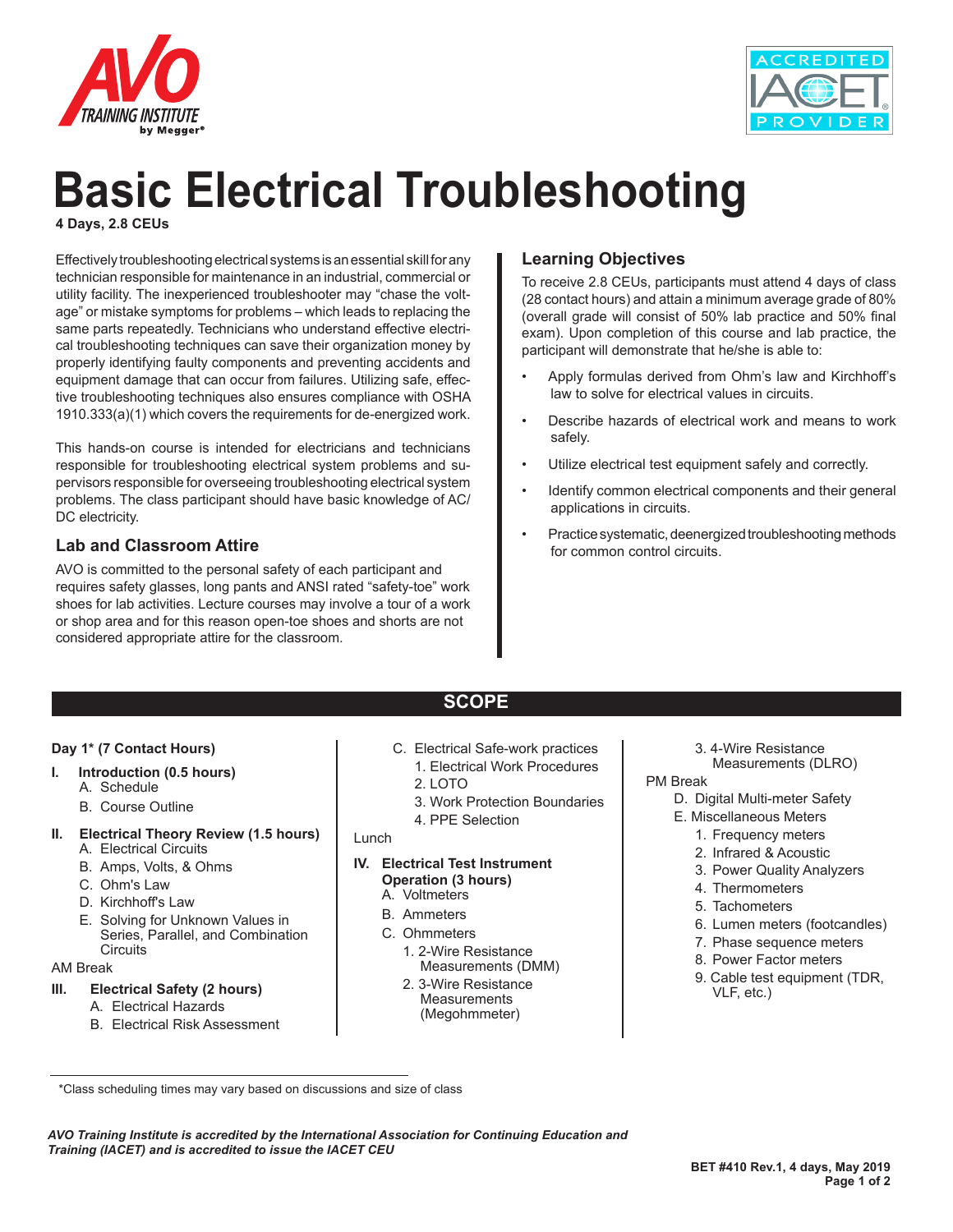



# **Basic Electrical Troubleshooting**

**4 Days, 2.8 CEUs**

Effectively troubleshooting electrical systems is an essential skill for any technician responsible for maintenance in an industrial, commercial or utility facility. The inexperienced troubleshooter may "chase the voltage" or mistake symptoms for problems – which leads to replacing the same parts repeatedly. Technicians who understand effective electrical troubleshooting techniques can save their organization money by properly identifying faulty components and preventing accidents and equipment damage that can occur from failures. Utilizing safe, effective troubleshooting techniques also ensures compliance with OSHA 1910.333(a)(1) which covers the requirements for de-energized work.

This hands-on course is intended for electricians and technicians responsible for troubleshooting electrical system problems and supervisors responsible for overseeing troubleshooting electrical system problems. The class participant should have basic knowledge of AC/ DC electricity.

#### **Lab and Classroom Attire**

AVO is committed to the personal safety of each participant and requires safety glasses, long pants and ANSI rated "safety-toe" work shoes for lab activities. Lecture courses may involve a tour of a work or shop area and for this reason open-toe shoes and shorts are not considered appropriate attire for the classroom.

### **Learning Objectives**

To receive 2.8 CEUs, participants must attend 4 days of class (28 contact hours) and attain a minimum average grade of 80% (overall grade will consist of 50% lab practice and 50% final exam). Upon completion of this course and lab practice, the participant will demonstrate that he/she is able to:

- Apply formulas derived from Ohm's law and Kirchhoff's law to solve for electrical values in circuits.
- Describe hazards of electrical work and means to work safely.
- Utilize electrical test equipment safely and correctly.
- Identify common electrical components and their general applications in circuits.
- Practice systematic, deenergized troubleshooting methods for common control circuits.

### **SCOPE**

#### **Day 1\* (7 Contact Hours)**

- **I. Introduction (0.5 hours)**
	- A. Schedule
		- B. Course Outline

#### **II. Electrical Theory Review (1.5 hours)**

- A. Electrical Circuits
- B. Amps, Volts, & Ohms
- C. Ohm's Law
- D. Kirchhoff's Law
- E. Solving for Unknown Values in Series, Parallel, and Combination **Circuits**

#### AM Break

#### **III. Electrical Safety (2 hours)**

- A. Electrical Hazards
- B. Electrical Risk Assessment
- C. Electrical Safe-work practices
	- 1. Electrical Work Procedures
	- $2.1$  QTO
	- 3. Work Protection Boundaries
	- 4. PPE Selection

#### Lunch

#### **IV. Electrical Test Instrument Operation (3 hours)** A. Voltmeters

- B. Ammeters
- C. Ohmmeters
	- 1. 2-Wire Resistance Measurements (DMM)
	- 2. 3-Wire Resistance **Measurements** (Megohmmeter)
- 3. 4-Wire Resistance
- Measurements (DLRO)

#### PM Break

- D. Digital Multi-meter Safety
- E. Miscellaneous Meters
	- 1. Frequency meters
	- 2. Infrared & Acoustic
	- 3. Power Quality Analyzers
	- 4. Thermometers
	- 5. Tachometers
	- 6. Lumen meters (footcandles)
	- 7. Phase sequence meters
	- 8. Power Factor meters
	- 9. Cable test equipment (TDR, VLF, etc.)

*AVO Training Institute is accredited by the International Association for Continuing Education and Training (IACET) and is accredited to issue the IACET CEU*

 <sup>\*</sup>Class scheduling times may vary based on discussions and size of class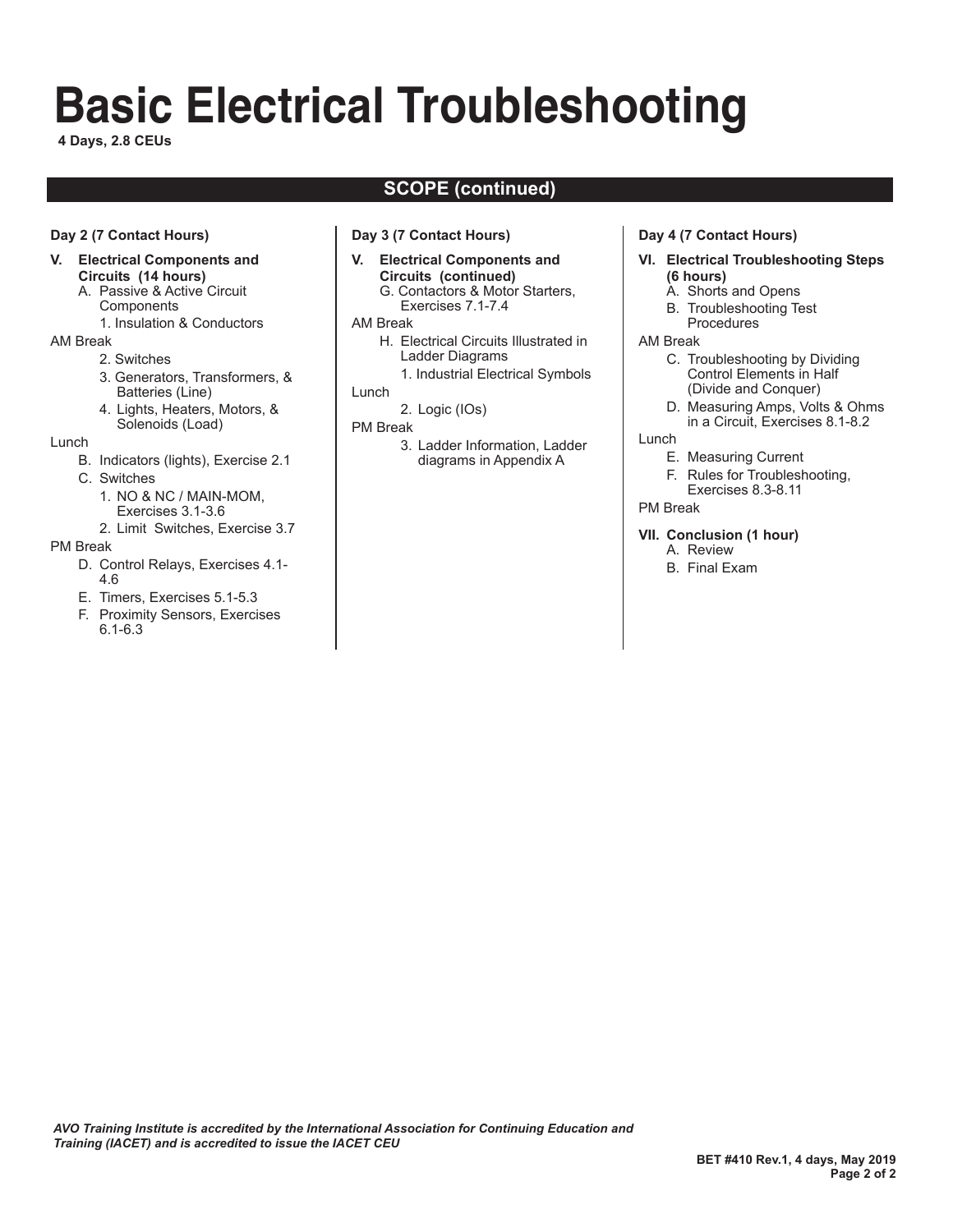# **Basic Electrical Troubleshooting**

**4 Days, 2.8 CEUs**

## **SCOPE (continued)**

#### **Day 2 (7 Contact Hours)**

#### **V. Electrical Components and Circuits (14 hours)**

- A. Passive & Active Circuit **Components** 
	- 1. Insulation & Conductors

#### AM Break

- 2. Switches
- 3. Generators, Transformers, & Batteries (Line)
- 4. Lights, Heaters, Motors, & Solenoids (Load)

#### Lunch

- B. Indicators (lights), Exercise 2.1
- C. Switches
	- 1. NO & NC / MAIN-MOM,
	- Exercises 3.1-3.6
	- 2. Limit Switches, Exercise 3.7

#### PM Break

- D. Control Relays, Exercises 4.1- 4.6
- E. Timers, Exercises 5.1-5.3
- F. Proximity Sensors, Exercises 6.1-6.3

#### **Day 3 (7 Contact Hours)**

- **V. Electrical Components and Circuits (continued)**
	- G. Contactors & Motor Starters, Exercises 7.1-7.4
- AM Break
	- H. Electrical Circuits Illustrated in Ladder Diagrams
		- 1. Industrial Electrical Symbols

#### Lunch

- 2. Logic (IOs)
- PM Break
	- 3. Ladder Information, Ladder diagrams in Appendix A

#### **Day 4 (7 Contact Hours)**

- **VI. Electrical Troubleshooting Steps (6 hours)**
	- A. Shorts and Opens
	- B. Troubleshooting Test Procedures

#### AM Break

- C. Troubleshooting by Dividing Control Elements in Half (Divide and Conquer)
- D. Measuring Amps, Volts & Ohms in a Circuit, Exercises 8.1-8.2

#### Lunch

- E. Measuring Current
- F. Rules for Troubleshooting,
- Exercises 8.3-8.11
- PM Break

#### **VII. Conclusion (1 hour)**

- A. Review
- B. Final Exam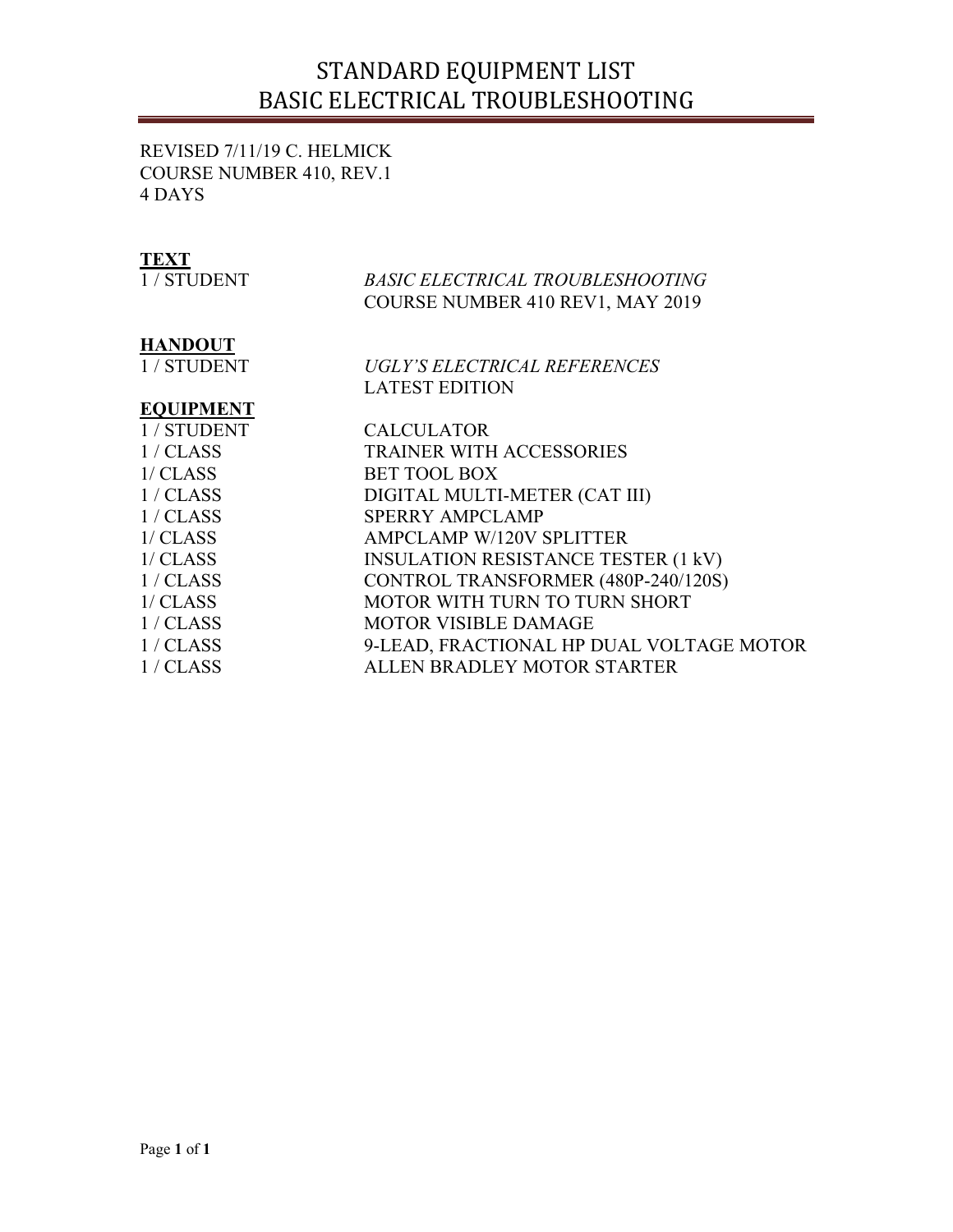# STANDARD EQUIPMENT LIST BASIC ELECTRICAL TROUBLESHOOTING

REVISED 7/11/19 C. HELMICK COURSE NUMBER 410, REV.1 4 DAYS

## **TEXT**

| 1 / STUDENT      | <b>BASIC ELECTRICAL TROUBLESHOOTING</b>    |
|------------------|--------------------------------------------|
|                  | COURSE NUMBER 410 REV1, MAY 2019           |
| HANDOUT          |                                            |
| 1 / STUDENT      | UGLY'S ELECTRICAL REFERENCES               |
|                  | <b>LATEST EDITION</b>                      |
| <b>EQUIPMENT</b> |                                            |
| 1 / STUDENT      | <b>CALCULATOR</b>                          |
| 1/CLAS           | <b>TRAINER WITH ACCESSORIES</b>            |
| 1/CLASS          | <b>BET TOOL BOX</b>                        |
| 1/CLAS           | DIGITAL MULTI-METER (CAT III)              |
| 1/CLAS           | <b>SPERRY AMPCLAMP</b>                     |
| 1/CLASS          | <b>AMPCLAMP W/120V SPLITTER</b>            |
| 1/CLASS          | <b>INSULATION RESISTANCE TESTER (1 kV)</b> |
| 1/CLASS          | CONTROL TRANSFORMER (480P-240/120S)        |
| 1/CLASS          | MOTOR WITH TURN TO TURN SHORT              |
| 1/CLASS          | MOTOR VISIBLE DAMAGE                       |
| 1/CLASS          | 9-LEAD, FRACTIONAL HP DUAL VOLTAGE MOTOR   |
| 1/CLASS          | ALLEN BRADLEY MOTOR STARTER                |
|                  |                                            |